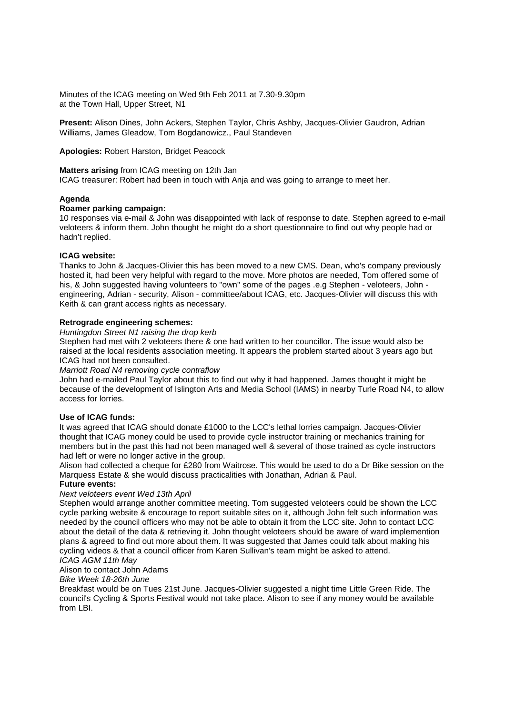Minutes of the ICAG meeting on Wed 9th Feb 2011 at 7.30-9.30pm at the Town Hall, Upper Street, N1

**Present:** Alison Dines, John Ackers, Stephen Taylor, Chris Ashby, Jacques-Olivier Gaudron, Adrian Williams, James Gleadow, Tom Bogdanowicz., Paul Standeven

**Apologies:** Robert Harston, Bridget Peacock

## **Matters arising** from ICAG meeting on 12th Jan

ICAG treasurer: Robert had been in touch with Anja and was going to arrange to meet her.

# **Agenda**

#### **Roamer parking campaign:**

10 responses via e-mail & John was disappointed with lack of response to date. Stephen agreed to e-mail veloteers & inform them. John thought he might do a short questionnaire to find out why people had or hadn't replied.

## **ICAG website:**

Thanks to John & Jacques-Olivier this has been moved to a new CMS. Dean, who's company previously hosted it, had been very helpful with regard to the move. More photos are needed, Tom offered some of his, & John suggested having volunteers to "own" some of the pages .e.g Stephen - veloteers, John engineering, Adrian - security, Alison - committee/about ICAG, etc. Jacques-Olivier will discuss this with Keith & can grant access rights as necessary.

## **Retrograde engineering schemes:**

#### Huntingdon Street N1 raising the drop kerb

Stephen had met with 2 veloteers there & one had written to her councillor. The issue would also be raised at the local residents association meeting. It appears the problem started about 3 years ago but ICAG had not been consulted.

Marriott Road N4 removing cycle contraflow

John had e-mailed Paul Taylor about this to find out why it had happened. James thought it might be because of the development of Islington Arts and Media School (IAMS) in nearby Turle Road N4, to allow access for lorries.

#### **Use of ICAG funds:**

It was agreed that ICAG should donate £1000 to the LCC's lethal lorries campaign. Jacques-Olivier thought that ICAG money could be used to provide cycle instructor training or mechanics training for members but in the past this had not been managed well & several of those trained as cycle instructors had left or were no longer active in the group.

Alison had collected a cheque for £280 from Waitrose. This would be used to do a Dr Bike session on the Marquess Estate & she would discuss practicalities with Jonathan, Adrian & Paul.

## **Future events:**

#### Next veloteers event Wed 13th April

Stephen would arrange another committee meeting. Tom suggested veloteers could be shown the LCC cycle parking website & encourage to report suitable sites on it, although John felt such information was needed by the council officers who may not be able to obtain it from the LCC site. John to contact LCC about the detail of the data & retrieving it. John thought veloteers should be aware of ward implemention plans & agreed to find out more about them. It was suggested that James could talk about making his cycling videos & that a council officer from Karen Sullivan's team might be asked to attend.

## ICAG AGM 11th May

# Alison to contact John Adams

Bike Week 18-26th June

Breakfast would be on Tues 21st June. Jacques-Olivier suggested a night time Little Green Ride. The council's Cycling & Sports Festival would not take place. Alison to see if any money would be available from LBI.